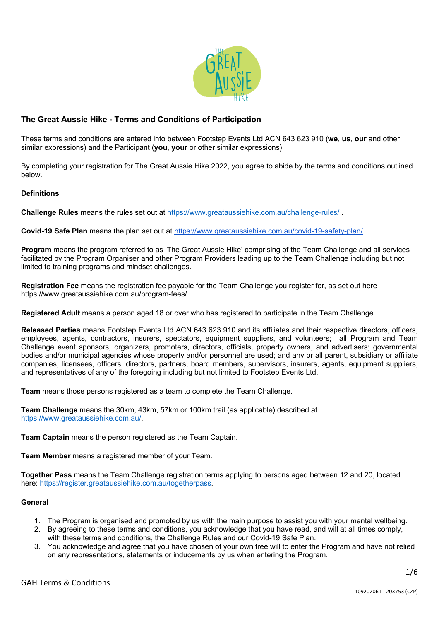

# **The Great Aussie Hike - Terms and Conditions of Participation**

These terms and conditions are entered into between Footstep Events Ltd ACN 643 623 910 (**we**, **us**, **our** and other similar expressions) and the Participant (**you**, **your** or other similar expressions).

By completing your registration for The Great Aussie Hike 2022, you agree to abide by the terms and conditions outlined below.

## **Definitions**

**Challenge Rules** means the rules set out at https://www.greataussiehike.com.au/challenge-rules/ .

**Covid-19 Safe Plan** means the plan set out at https://www.greataussiehike.com.au/covid-19-safety-plan/.

**Program** means the program referred to as 'The Great Aussie Hike' comprising of the Team Challenge and all services facilitated by the Program Organiser and other Program Providers leading up to the Team Challenge including but not limited to training programs and mindset challenges.

**Registration Fee** means the registration fee payable for the Team Challenge you register for, as set out here https://www.greataussiehike.com.au/program-fees/.

**Registered Adult** means a person aged 18 or over who has registered to participate in the Team Challenge.

**Released Parties** means Footstep Events Ltd ACN 643 623 910 and its affiliates and their respective directors, officers, employees, agents, contractors, insurers, spectators, equipment suppliers, and volunteers; all Program and Team Challenge event sponsors, organizers, promoters, directors, officials, property owners, and advertisers; governmental bodies and/or municipal agencies whose property and/or personnel are used; and any or all parent, subsidiary or affiliate companies, licensees, officers, directors, partners, board members, supervisors, insurers, agents, equipment suppliers, and representatives of any of the foregoing including but not limited to Footstep Events Ltd.

**Team** means those persons registered as a team to complete the Team Challenge.

**Team Challenge** means the 30km, 43km, 57km or 100km trail (as applicable) described at https://www.greataussiehike.com.au/.

**Team Captain** means the person registered as the Team Captain.

**Team Member** means a registered member of your Team.

**Together Pass** means the Team Challenge registration terms applying to persons aged between 12 and 20, located here: https://register.greataussiehike.com.au/togetherpass.

#### **General**

- 1. The Program is organised and promoted by us with the main purpose to assist you with your mental wellbeing.
- 2. By agreeing to these terms and conditions, you acknowledge that you have read, and will at all times comply, with these terms and conditions, the Challenge Rules and our Covid-19 Safe Plan.
- 3. You acknowledge and agree that you have chosen of your own free will to enter the Program and have not relied on any representations, statements or inducements by us when entering the Program.

1/6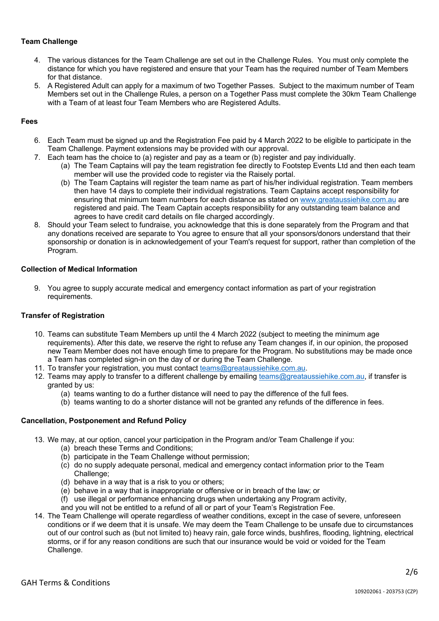## **Team Challenge**

- 4. The various distances for the Team Challenge are set out in the Challenge Rules. You must only complete the distance for which you have registered and ensure that your Team has the required number of Team Members for that distance.
- 5. A Registered Adult can apply for a maximum of two Together Passes. Subject to the maximum number of Team Members set out in the Challenge Rules, a person on a Together Pass must complete the 30km Team Challenge with a Team of at least four Team Members who are Registered Adults.

#### **Fees**

- 6. Each Team must be signed up and the Registration Fee paid by 4 March 2022 to be eligible to participate in the Team Challenge. Payment extensions may be provided with our approval.
- 7. Each team has the choice to (a) register and pay as a team or (b) register and pay individually.
	- (a) The Team Captains will pay the team registration fee directly to Footstep Events Ltd and then each team member will use the provided code to register via the Raisely portal.
	- (b) The Team Captains will register the team name as part of his/her individual registration. Team members then have 14 days to complete their individual registrations. Team Captains accept responsibility for ensuring that minimum team numbers for each distance as stated on www.greataussiehike.com.au are registered and paid. The Team Captain accepts responsibility for any outstanding team balance and agrees to have credit card details on file charged accordingly.
- 8. Should your Team select to fundraise, you acknowledge that this is done separately from the Program and that any donations received are separate to You agree to ensure that all your sponsors/donors understand that their sponsorship or donation is in acknowledgement of your Team's request for support, rather than completion of the Program.

#### **Collection of Medical Information**

9. You agree to supply accurate medical and emergency contact information as part of your registration requirements.

#### **Transfer of Registration**

- 10. Teams can substitute Team Members up until the 4 March 2022 (subject to meeting the minimum age requirements). After this date, we reserve the right to refuse any Team changes if, in our opinion, the proposed new Team Member does not have enough time to prepare for the Program. No substitutions may be made once a Team has completed sign-in on the day of or during the Team Challenge.
- 11. To transfer your registration, you must contact teams@greataussiehike.com.au.
- 12. Teams may apply to transfer to a different challenge by emailing teams@greataussiehike.com.au, if transfer is granted by us:
	- (a) teams wanting to do a further distance will need to pay the difference of the full fees.
	- (b) teams wanting to do a shorter distance will not be granted any refunds of the difference in fees.

#### **Cancellation, Postponement and Refund Policy**

- 13. We may, at our option, cancel your participation in the Program and/or Team Challenge if you:
	- (a) breach these Terms and Conditions;
	- (b) participate in the Team Challenge without permission;
	- (c) do no supply adequate personal, medical and emergency contact information prior to the Team Challenge:
	- (d) behave in a way that is a risk to you or others;
	- (e) behave in a way that is inappropriate or offensive or in breach of the law; or
	- (f) use illegal or performance enhancing drugs when undertaking any Program activity,
	- and you will not be entitled to a refund of all or part of your Team's Registration Fee.
- 14. The Team Challenge will operate regardless of weather conditions, except in the case of severe, unforeseen conditions or if we deem that it is unsafe. We may deem the Team Challenge to be unsafe due to circumstances out of our control such as (but not limited to) heavy rain, gale force winds, bushfires, flooding, lightning, electrical storms, or if for any reason conditions are such that our insurance would be void or voided for the Team Challenge.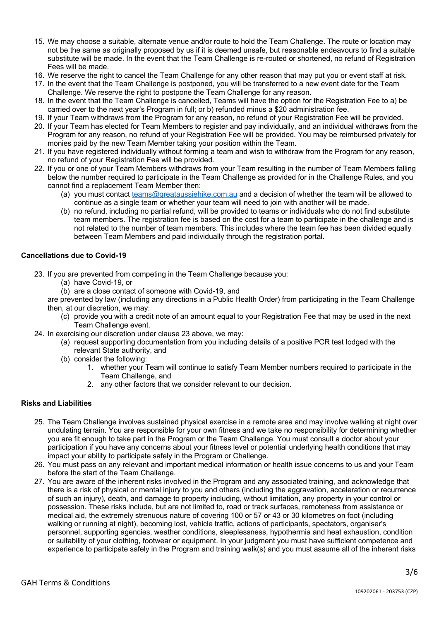- 15. We may choose a suitable, alternate venue and/or route to hold the Team Challenge. The route or location may not be the same as originally proposed by us if it is deemed unsafe, but reasonable endeavours to find a suitable substitute will be made. In the event that the Team Challenge is re-routed or shortened, no refund of Registration Fees will be made.
- 16. We reserve the right to cancel the Team Challenge for any other reason that may put you or event staff at risk.
- 17. In the event that the Team Challenge is postponed, you will be transferred to a new event date for the Team Challenge. We reserve the right to postpone the Team Challenge for any reason.
- 18. In the event that the Team Challenge is cancelled, Teams will have the option for the Registration Fee to a) be carried over to the next year's Program in full; or b) refunded minus a \$20 administration fee.
- 19. If your Team withdraws from the Program for any reason, no refund of your Registration Fee will be provided.
- 20. If your Team has elected for Team Members to register and pay individually, and an individual withdraws from the Program for any reason, no refund of your Registration Fee will be provided. You may be reimbursed privately for monies paid by the new Team Member taking your position within the Team.
- 21. If you have registered individually without forming a team and wish to withdraw from the Program for any reason, no refund of your Registration Fee will be provided.
- 22. If you or one of your Team Members withdraws from your Team resulting in the number of Team Members falling below the number required to participate in the Team Challenge as provided for in the Challenge Rules, and you cannot find a replacement Team Member then:
	- (a) you must contact teams@greataussiehike.com.au and a decision of whether the team will be allowed to continue as a single team or whether your team will need to join with another will be made.
	- (b) no refund, including no partial refund, will be provided to teams or individuals who do not find substitute team members. The registration fee is based on the cost for a team to participate in the challenge and is not related to the number of team members. This includes where the team fee has been divided equally between Team Members and paid individually through the registration portal.

# **Cancellations due to Covid-19**

- 23. If you are prevented from competing in the Team Challenge because you:
	- (a) have Covid-19, or
	- (b) are a close contact of someone with Covid-19, and

are prevented by law (including any directions in a Public Health Order) from participating in the Team Challenge then, at our discretion, we may:

- (c) provide you with a credit note of an amount equal to your Registration Fee that may be used in the next Team Challenge event.
- 24. In exercising our discretion under clause 23 above, we may:
	- (a) request supporting documentation from you including details of a positive PCR test lodged with the relevant State authority, and
	- (b) consider the following:
		- 1. whether your Team will continue to satisfy Team Member numbers required to participate in the Team Challenge, and
		- 2. any other factors that we consider relevant to our decision.

## **Risks and Liabilities**

- 25. The Team Challenge involves sustained physical exercise in a remote area and may involve walking at night over undulating terrain. You are responsible for your own fitness and we take no responsibility for determining whether you are fit enough to take part in the Program or the Team Challenge. You must consult a doctor about your participation if you have any concerns about your fitness level or potential underlying health conditions that may impact your ability to participate safely in the Program or Challenge.
- 26. You must pass on any relevant and important medical information or health issue concerns to us and your Team before the start of the Team Challenge.
- 27. You are aware of the inherent risks involved in the Program and any associated training, and acknowledge that there is a risk of physical or mental injury to you and others (including the aggravation, acceleration or recurrence of such an injury), death, and damage to property including, without limitation, any property in your control or possession. These risks include, but are not limited to, road or track surfaces, remoteness from assistance or medical aid, the extremely strenuous nature of covering 100 or 57 or 43 or 30 kilometres on foot (including walking or running at night), becoming lost, vehicle traffic, actions of participants, spectators, organiser's personnel, supporting agencies, weather conditions, sleeplessness, hypothermia and heat exhaustion, condition or suitability of your clothing, footwear or equipment. In your judgment you must have sufficient competence and experience to participate safely in the Program and training walk(s) and you must assume all of the inherent risks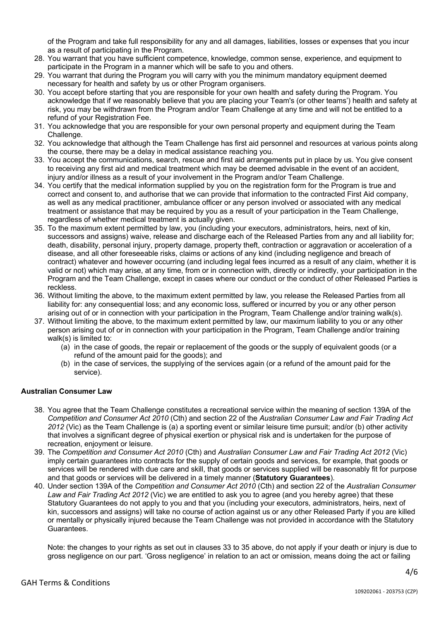of the Program and take full responsibility for any and all damages, liabilities, losses or expenses that you incur as a result of participating in the Program.

- 28. You warrant that you have sufficient competence, knowledge, common sense, experience, and equipment to participate in the Program in a manner which will be safe to you and others.
- 29. You warrant that during the Program you will carry with you the minimum mandatory equipment deemed necessary for health and safety by us or other Program organisers.
- 30. You accept before starting that you are responsible for your own health and safety during the Program. You acknowledge that if we reasonably believe that you are placing your Team's (or other teams') health and safety at risk, you may be withdrawn from the Program and/or Team Challenge at any time and will not be entitled to a refund of your Registration Fee.
- 31. You acknowledge that you are responsible for your own personal property and equipment during the Team Challenge.
- 32. You acknowledge that although the Team Challenge has first aid personnel and resources at various points along the course, there may be a delay in medical assistance reaching you.
- 33. You accept the communications, search, rescue and first aid arrangements put in place by us. You give consent to receiving any first aid and medical treatment which may be deemed advisable in the event of an accident, injury and/or illness as a result of your involvement in the Program and/or Team Challenge.
- 34. You certify that the medical information supplied by you on the registration form for the Program is true and correct and consent to, and authorise that we can provide that information to the contracted First Aid company, as well as any medical practitioner, ambulance officer or any person involved or associated with any medical treatment or assistance that may be required by you as a result of your participation in the Team Challenge, regardless of whether medical treatment is actually given.
- 35. To the maximum extent permitted by law, you (including your executors, administrators, heirs, next of kin, successors and assigns) waive, release and discharge each of the Released Parties from any and all liability for; death, disability, personal injury, property damage, property theft, contraction or aggravation or acceleration of a disease, and all other foreseeable risks, claims or actions of any kind (including negligence and breach of contract) whatever and however occurring (and including legal fees incurred as a result of any claim, whether it is valid or not) which may arise, at any time, from or in connection with, directly or indirectly, your participation in the Program and the Team Challenge, except in cases where our conduct or the conduct of other Released Parties is reckless.
- 36. Without limiting the above, to the maximum extent permitted by law, you release the Released Parties from all liability for: any consequential loss; and any economic loss, suffered or incurred by you or any other person arising out of or in connection with your participation in the Program, Team Challenge and/or training walk(s).
- 37. Without limiting the above, to the maximum extent permitted by law, our maximum liability to you or any other person arising out of or in connection with your participation in the Program, Team Challenge and/or training walk(s) is limited to:
	- (a) in the case of goods, the repair or replacement of the goods or the supply of equivalent goods (or a refund of the amount paid for the goods); and
	- (b) in the case of services, the supplying of the services again (or a refund of the amount paid for the service).

## **Australian Consumer Law**

- 38. You agree that the Team Challenge constitutes a recreational service within the meaning of section 139A of the *Competition and Consumer Act 2010* (Cth) and section 22 of the *Australian Consumer Law and Fair Trading Act 2012* (Vic) as the Team Challenge is (a) a sporting event or similar leisure time pursuit; and/or (b) other activity that involves a significant degree of physical exertion or physical risk and is undertaken for the purpose of recreation, enjoyment or leisure.
- 39. The *Competition and Consumer Act 2010* (Cth) and *Australian Consumer Law and Fair Trading Act 2012* (Vic) imply certain guarantees into contracts for the supply of certain goods and services, for example, that goods or services will be rendered with due care and skill, that goods or services supplied will be reasonably fit for purpose and that goods or services will be delivered in a timely manner (**Statutory Guarantees**).
- 40. Under section 139A of the *Competition and Consumer Act 2010* (Cth) and section 22 of the *Australian Consumer Law and Fair Trading Act 2012* (Vic) we are entitled to ask you to agree (and you hereby agree) that these Statutory Guarantees do not apply to you and that you (including your executors, administrators, heirs, next of kin, successors and assigns) will take no course of action against us or any other Released Party if you are killed or mentally or physically injured because the Team Challenge was not provided in accordance with the Statutory Guarantees.

Note: the changes to your rights as set out in clauses 33 to 35 above, do not apply if your death or injury is due to gross negligence on our part. 'Gross negligence' in relation to an act or omission, means doing the act or failing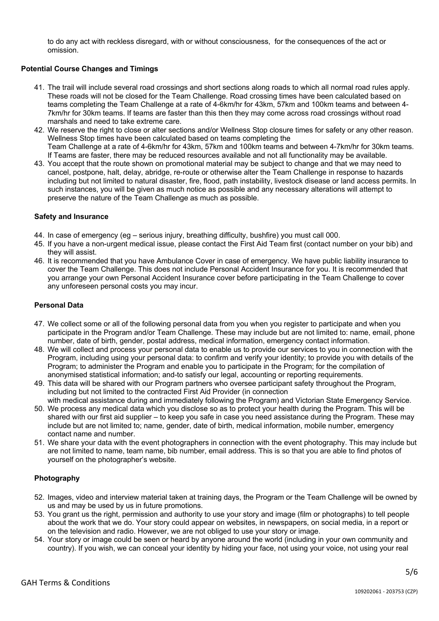to do any act with reckless disregard, with or without consciousness, for the consequences of the act or omission.

# **Potential Course Changes and Timings**

- 41. The trail will include several road crossings and short sections along roads to which all normal road rules apply. These roads will not be closed for the Team Challenge. Road crossing times have been calculated based on teams completing the Team Challenge at a rate of 4-6km/hr for 43km, 57km and 100km teams and between 4- 7km/hr for 30km teams. If teams are faster than this then they may come across road crossings without road marshals and need to take extreme care.
- 42. We reserve the right to close or alter sections and/or Wellness Stop closure times for safety or any other reason. Wellness Stop times have been calculated based on teams completing the Team Challenge at a rate of 4-6km/hr for 43km, 57km and 100km teams and between 4-7km/hr for 30km teams. If Teams are faster, there may be reduced resources available and not all functionality may be available.
- 43. You accept that the route shown on promotional material may be subject to change and that we may need to cancel, postpone, halt, delay, abridge, re-route or otherwise alter the Team Challenge in response to hazards including but not limited to natural disaster, fire, flood, path instability, livestock disease or land access permits. In such instances, you will be given as much notice as possible and any necessary alterations will attempt to preserve the nature of the Team Challenge as much as possible.

## **Safety and Insurance**

- 44. In case of emergency (eg serious injury, breathing difficulty, bushfire) you must call 000.
- 45. If you have a non-urgent medical issue, please contact the First Aid Team first (contact number on your bib) and they will assist.
- 46. It is recommended that you have Ambulance Cover in case of emergency. We have public liability insurance to cover the Team Challenge. This does not include Personal Accident Insurance for you. It is recommended that you arrange your own Personal Accident Insurance cover before participating in the Team Challenge to cover any unforeseen personal costs you may incur.

## **Personal Data**

- 47. We collect some or all of the following personal data from you when you register to participate and when you participate in the Program and/or Team Challenge. These may include but are not limited to: name, email, phone number, date of birth, gender, postal address, medical information, emergency contact information.
- 48. We will collect and process your personal data to enable us to provide our services to you in connection with the Program, including using your personal data: to confirm and verify your identity; to provide you with details of the Program; to administer the Program and enable you to participate in the Program; for the compilation of anonymised statistical information; and-to satisfy our legal, accounting or reporting requirements.
- 49. This data will be shared with our Program partners who oversee participant safety throughout the Program, including but not limited to the contracted First Aid Provider (in connection
- with medical assistance during and immediately following the Program) and Victorian State Emergency Service. 50. We process any medical data which you disclose so as to protect your health during the Program. This will be shared with our first aid supplier – to keep you safe in case you need assistance during the Program. These may include but are not limited to; name, gender, date of birth, medical information, mobile number, emergency contact name and number.
- 51. We share your data with the event photographers in connection with the event photography. This may include but are not limited to name, team name, bib number, email address. This is so that you are able to find photos of yourself on the photographer's website.

## **Photography**

- 52. Images, video and interview material taken at training days, the Program or the Team Challenge will be owned by us and may be used by us in future promotions.
- 53. You grant us the right, permission and authority to use your story and image (film or photographs) to tell people about the work that we do. Your story could appear on websites, in newspapers, on social media, in a report or on the television and radio. However, we are not obliged to use your story or image.
- 54. Your story or image could be seen or heard by anyone around the world (including in your own community and country). If you wish, we can conceal your identity by hiding your face, not using your voice, not using your real